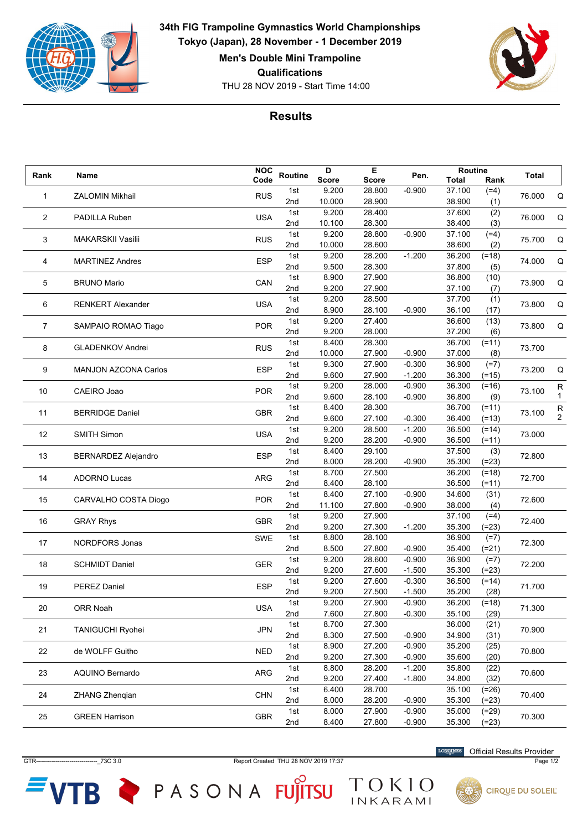

THU 28 NOV 2019 - Start Time 14:00 **34th FIG Trampoline Gymnastics World Championships Tokyo (Japan), 28 November - 1 December 2019 Men's Double Mini Trampoline Qualifications**



## **Results**

| Rank | Name                        | <b>NOC</b> | <b>Routine</b> | D            | Е            | Pen.     | Routine      |         | Total  |                |
|------|-----------------------------|------------|----------------|--------------|--------------|----------|--------------|---------|--------|----------------|
|      |                             | Code       |                | <b>Score</b> | <b>Score</b> |          | <b>Total</b> | Rank    |        |                |
| 1    | <b>ZALOMIN Mikhail</b>      | <b>RUS</b> | 1st            | 9.200        | 28.800       | $-0.900$ | 37.100       | $(=4)$  | 76.000 | Q              |
|      |                             |            | 2nd            | 10.000       | 28.900       |          | 38.900       | (1)     |        |                |
|      | 2<br>PADILLA Ruben          | <b>USA</b> | 1st            | 9.200        | 28.400       |          | 37.600       | (2)     | 76.000 | Q              |
|      |                             |            | 2nd            | 10.100       | 28.300       |          | 38.400       | (3)     |        |                |
| 3    | <b>MAKARSKII Vasilii</b>    | <b>RUS</b> | 1st            | 9.200        | 28.800       | $-0.900$ | 37.100       | $(=4)$  | 75.700 | Q              |
|      |                             |            | 2nd            | 10.000       | 28.600       |          | 38.600       | (2)     |        |                |
|      | <b>MARTINEZ Andres</b>      | <b>ESP</b> | 1st            | 9.200        | 28.200       | $-1.200$ | 36.200       | $(=18)$ | 74.000 | Q              |
| 4    |                             |            | 2nd            | 9.500        | 28.300       |          | 37.800       | (5)     |        |                |
| 5    | <b>BRUNO Mario</b>          | CAN        | 1st            | 8.900        | 27.900       |          | 36.800       | (10)    | 73.900 | Q              |
|      |                             |            | 2nd            | 9.200        | 27.900       |          | 37.100       | (7)     |        |                |
|      |                             |            | 1st            | 9.200        | 28.500       |          | 37.700       | (1)     |        |                |
| 6    | <b>RENKERT Alexander</b>    | <b>USA</b> | 2nd            | 8.900        | 28.100       | $-0.900$ | 36.100       | (17)    | 73.800 | Q              |
|      |                             |            | 1st            | 9.200        | 27.400       |          | 36.600       | (13)    |        |                |
| 7    | SAMPAIO ROMAO Tiago         | POR        | 2nd            | 9.200        | 28.000       |          | 37.200       | (6)     | 73.800 | Q              |
|      |                             |            | 1st            | 8.400        | 28.300       |          | 36.700       | $(=11)$ |        |                |
| 8    | <b>GLADENKOV Andrei</b>     | <b>RUS</b> | 2nd            | 10.000       | 27.900       | $-0.900$ | 37.000       | (8)     | 73.700 |                |
|      |                             |            | 1st            | 9.300        | 27.900       | $-0.300$ | 36.900       | $(=7)$  |        |                |
| 9    | <b>MANJON AZCONA Carlos</b> | <b>ESP</b> | 2nd            | 9.600        | 27.900       | $-1.200$ | 36.300       | (=15)   | 73.200 | Q              |
|      |                             |            | 1st            | 9.200        | 28.000       | $-0.900$ | 36.300       | $(=16)$ |        | R              |
| 10   | CAEIRO Joao                 | <b>POR</b> | 2nd            | 9.600        | 28.100       | $-0.900$ | 36.800       | (9)     | 73.100 | 1              |
|      |                             |            | 1st            | 8.400        | 28.300       |          | 36.700       | $(=11)$ |        | ${\sf R}$      |
| 11   | <b>BERRIDGE Daniel</b>      | <b>GBR</b> | 2nd            | 9.600        | 27.100       | $-0.300$ | 36.400       | $(=13)$ | 73.100 | $\overline{2}$ |
|      |                             |            | 1st            | 9.200        | 28.500       | $-1.200$ | 36.500       | $(=14)$ |        |                |
| 12   | <b>SMITH Simon</b>          | <b>USA</b> | 2nd            | 9.200        | 28.200       | $-0.900$ | 36.500       |         | 73.000 |                |
|      |                             |            | 1st            | 8.400        | 29.100       |          | 37.500       | (=11)   |        |                |
| 13   | <b>BERNARDEZ Alejandro</b>  | <b>ESP</b> | 2nd            | 8.000        | 28.200       | $-0.900$ | 35.300       | (3)     | 72.800 |                |
|      |                             |            |                |              |              |          |              | $(=23)$ |        |                |
| 14   | <b>ADORNO Lucas</b>         | <b>ARG</b> | 1st            | 8.700        | 27.500       |          | 36.200       | $(=18)$ | 72.700 |                |
|      |                             |            | 2nd            | 8.400        | 28.100       |          | 36.500       | $(=11)$ |        |                |
| 15   | CARVALHO COSTA Diogo        | <b>POR</b> | 1st            | 8.400        | 27.100       | $-0.900$ | 34.600       | (31)    | 72.600 |                |
|      |                             |            | 2nd            | 11.100       | 27.800       | $-0.900$ | 38.000       | (4)     |        |                |
| 16   | <b>GRAY Rhys</b>            | <b>GBR</b> | 1st            | 9.200        | 27.900       |          | 37.100       | $(=4)$  | 72.400 |                |
|      |                             |            | 2nd            | 9.200        | 27.300       | $-1.200$ | 35.300       | $(=23)$ |        |                |
| 17   | NORDFORS Jonas              | SWE        | 1st            | 8.800        | 28.100       |          | 36.900       | $(=7)$  | 72.300 |                |
|      |                             |            | 2nd            | 8.500        | 27.800       | $-0.900$ | 35.400       | $(=21)$ |        |                |
| 18   | <b>SCHMIDT Daniel</b>       | <b>GER</b> | 1st            | 9.200        | 28.600       | $-0.900$ | 36.900       | $(=7)$  | 72.200 |                |
|      |                             |            | 2nd            | 9.200        | 27.600       | $-1.500$ | 35.300       | (=23)   |        |                |
| 19   | <b>PEREZ Daniel</b>         | <b>ESP</b> | 1st            | 9.200        | 27.600       | $-0.300$ | 36.500       | $(=14)$ | 71.700 |                |
|      |                             |            | 2nd            | 9.200        | 27.500       | $-1.500$ | 35.200       | (28)    |        |                |
| 20   | ORR Noah                    | <b>USA</b> | 1st            | 9.200        | 27.900       | $-0.900$ | 36.200       | $(=18)$ | 71.300 |                |
|      |                             |            | 2nd            | 7.600        | 27.800       | $-0.300$ | 35.100       | (29)    |        |                |
| 21   | <b>TANIGUCHI Ryohei</b>     | <b>JPN</b> | 1st            | 8.700        | 27.300       |          | 36.000       | (21)    | 70.900 |                |
|      |                             |            | 2nd            | 8.300        | 27.500       | $-0.900$ | 34.900       | (31)    |        |                |
| 22   | de WOLFF Guitho             | <b>NED</b> | 1st            | 8.900        | 27.200       | $-0.900$ | 35.200       | (25)    | 70.800 |                |
|      |                             |            | 2nd            | 9.200        | 27.300       | $-0.900$ | 35.600       | (20)    |        |                |
|      |                             |            | 1st            | 8.800        | 28.200       | $-1.200$ | 35.800       | (22)    |        |                |
| 23   | AQUINO Bernardo             | ARG        | 2nd            | 9.200        | 27.400       | $-1.800$ | 34.800       | (32)    | 70.600 |                |
|      |                             |            | 1st            | 6.400        | 28.700       |          | 35.100       | $(=26)$ |        |                |
| 24   | <b>ZHANG Zhengian</b>       | <b>CHN</b> | 2nd            | 8.000        | 28.200       | $-0.900$ | 35.300       | $(=23)$ | 70.400 |                |
|      |                             |            | 1st            | 8.000        | 27.900       | $-0.900$ | 35.000       | $(=29)$ |        |                |
| 25   | <b>GREEN Harrison</b>       | GBR        | 2nd            | 8.400        | 27.800       | $-0.900$ | 35.300       | $(=23)$ | 70.300 |                |

GTR-------------------------------\_73C 3.0 Report Created THU 28 NOV 2019 17:37 Page 1/2

TOKIO

**VTB** PASONA FUJITSU

**LONGINES** Official Results Provider